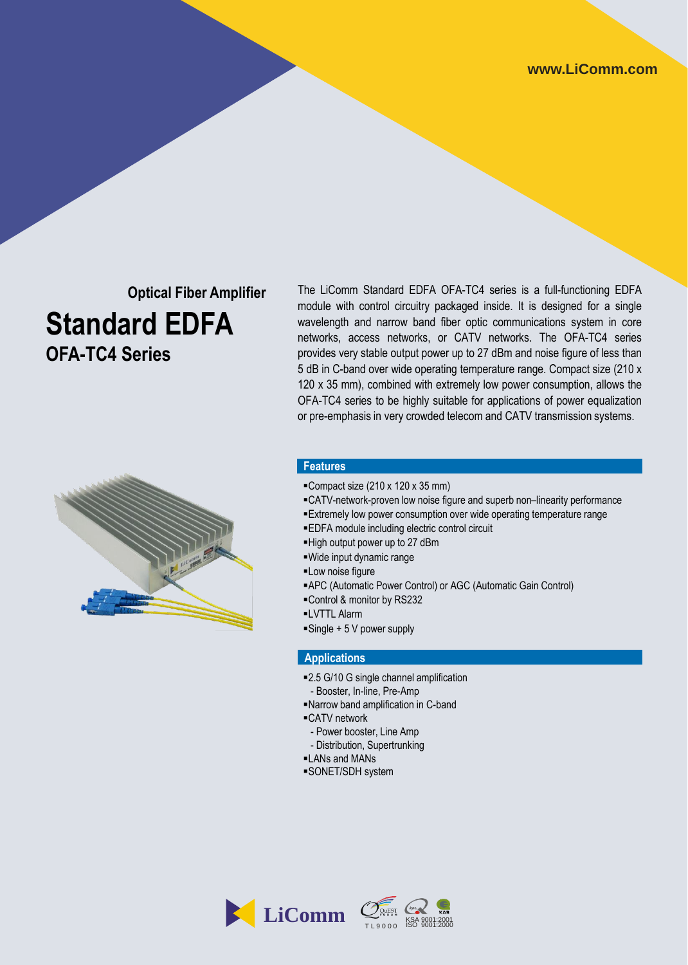## **Optical Fiber Amplifier Standard EDFA OFA-TC4 Series**

The LiComm Standard EDFA OFA-TC4 series is a full-functioning EDFA module with control circuitry packaged inside. It is designed for a single wavelength and narrow band fiber optic communications system in core networks, access networks, or CATV networks. The OFA-TC4 series provides very stable output power up to 27 dBm and noise figure of less than 5 dB in C-band over wide operating temperature range. Compact size (210 x 120 x 35 mm), combined with extremely low power consumption, allows the OFA-TC4 series to be highly suitable for applications of power equalization or pre-emphasis in very crowded telecom and CATV transmission systems.



#### **Features**

- Compact size  $(210 \times 120 \times 35 \text{ mm})$
- CATV-network-proven low noise figure and superb non–linearity performance
- Extremely low power consumption over wide operating temperature range
- EDFA module including electric control circuit
- High output power up to 27 dBm
- Wide input dynamic range
- **-Low noise figure**
- APC (Automatic Power Control) or AGC (Automatic Gain Control)
- Control & monitor by RS232
- LVTTL Alarm
- $\blacksquare$ Single + 5 V power supply

#### **Applications**

- 2.5 G/10 G single channel amplification
- Booster, In-line, Pre-Amp
- Narrow band amplification in C-band
- ■CATV network
- Power booster, Line Amp
- Distribution, Supertrunking
- LANs and MANs
- SONET/SDH system